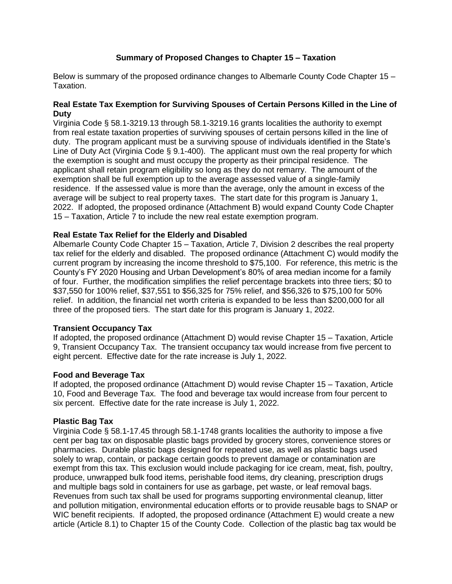# **Summary of Proposed Changes to Chapter 15 – Taxation**

Below is summary of the proposed ordinance changes to Albemarle County Code Chapter 15 – Taxation.

# **Real Estate Tax Exemption for Surviving Spouses of Certain Persons Killed in the Line of Duty**

Virginia Code § 58.1-3219.13 through 58.1-3219.16 grants localities the authority to exempt from real estate taxation properties of surviving spouses of certain persons killed in the line of duty. The program applicant must be a surviving spouse of individuals identified in the State's Line of Duty Act (Virginia Code § 9.1-400). The applicant must own the real property for which the exemption is sought and must occupy the property as their principal residence. The applicant shall retain program eligibility so long as they do not remarry. The amount of the exemption shall be full exemption up to the average assessed value of a single-family residence. If the assessed value is more than the average, only the amount in excess of the average will be subject to real property taxes. The start date for this program is January 1, 2022. If adopted, the proposed ordinance (Attachment B) would expand County Code Chapter 15 – Taxation, Article 7 to include the new real estate exemption program.

# **Real Estate Tax Relief for the Elderly and Disabled**

Albemarle County Code Chapter 15 – Taxation, Article 7, Division 2 describes the real property tax relief for the elderly and disabled. The proposed ordinance (Attachment C) would modify the current program by increasing the income threshold to \$75,100. For reference, this metric is the County's FY 2020 Housing and Urban Development's 80% of area median income for a family of four. Further, the modification simplifies the relief percentage brackets into three tiers; \$0 to \$37,550 for 100% relief, \$37,551 to \$56,325 for 75% relief, and \$56,326 to \$75,100 for 50% relief. In addition, the financial net worth criteria is expanded to be less than \$200,000 for all three of the proposed tiers. The start date for this program is January 1, 2022.

### **Transient Occupancy Tax**

If adopted, the proposed ordinance (Attachment D) would revise Chapter 15 – Taxation, Article 9, Transient Occupancy Tax. The transient occupancy tax would increase from five percent to eight percent. Effective date for the rate increase is July 1, 2022.

### **Food and Beverage Tax**

If adopted, the proposed ordinance (Attachment D) would revise Chapter 15 – Taxation, Article 10, Food and Beverage Tax. The food and beverage tax would increase from four percent to six percent. Effective date for the rate increase is July 1, 2022.

### **Plastic Bag Tax**

Virginia Code § 58.1-17.45 through 58.1-1748 grants localities the authority to impose a five cent per bag tax on disposable plastic bags provided by grocery stores, convenience stores or pharmacies. Durable plastic bags designed for repeated use, as well as plastic bags used solely to wrap, contain, or package certain goods to prevent damage or contamination are exempt from this tax. This exclusion would include packaging for ice cream, meat, fish, poultry, produce, unwrapped bulk food items, perishable food items, dry cleaning, prescription drugs and multiple bags sold in containers for use as garbage, pet waste, or leaf removal bags. Revenues from such tax shall be used for programs supporting environmental cleanup, litter and pollution mitigation, environmental education efforts or to provide reusable bags to SNAP or WIC benefit recipients. If adopted, the proposed ordinance (Attachment E) would create a new article (Article 8.1) to Chapter 15 of the County Code. Collection of the plastic bag tax would be